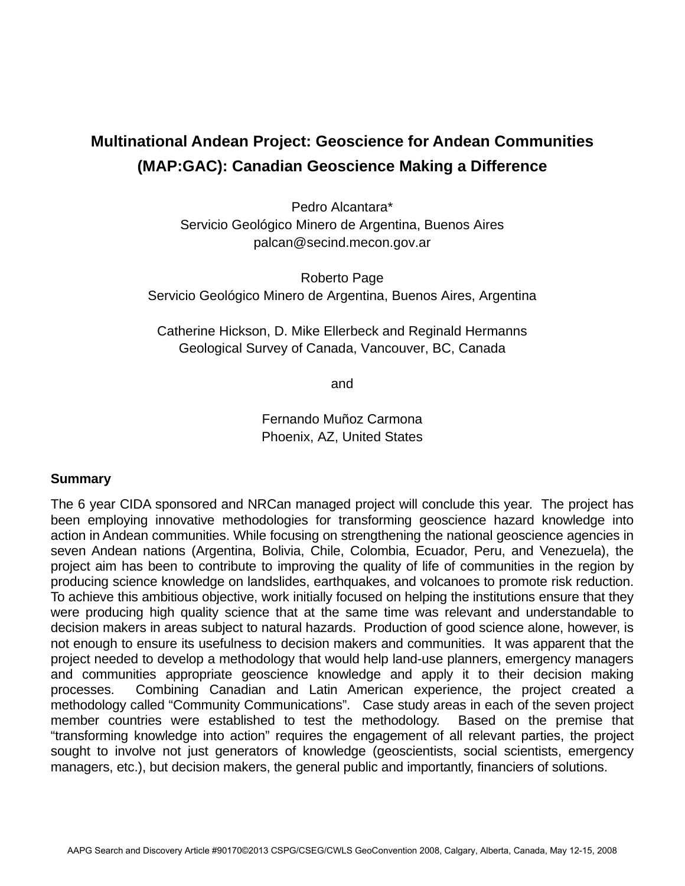## **Multinational Andean Project: Geoscience for Andean Communities (MAP:GAC): Canadian Geoscience Making a Difference**

Pedro Alcantara\* Servicio Geológico Minero de Argentina, Buenos Aires palcan@secind.mecon.gov.ar

Roberto Page Servicio Geológico Minero de Argentina, Buenos Aires, Argentina

Catherine Hickson, D. Mike Ellerbeck and Reginald Hermanns Geological Survey of Canada, Vancouver, BC, Canada

and

Fernando Muñoz Carmona Phoenix, AZ, United States

## **Summary**

The 6 year CIDA sponsored and NRCan managed project will conclude this year. The project has been employing innovative methodologies for transforming geoscience hazard knowledge into action in Andean communities. While focusing on strengthening the national geoscience agencies in seven Andean nations (Argentina, Bolivia, Chile, Colombia, Ecuador, Peru, and Venezuela), the project aim has been to contribute to improving the quality of life of communities in the region by producing science knowledge on landslides, earthquakes, and volcanoes to promote risk reduction. To achieve this ambitious objective, work initially focused on helping the institutions ensure that they were producing high quality science that at the same time was relevant and understandable to decision makers in areas subject to natural hazards. Production of good science alone, however, is not enough to ensure its usefulness to decision makers and communities. It was apparent that the project needed to develop a methodology that would help land-use planners, emergency managers and communities appropriate geoscience knowledge and apply it to their decision making processes. Combining Canadian and Latin American experience, the project created a methodology called "Community Communications". Case study areas in each of the seven project member countries were established to test the methodology. Based on the premise that "transforming knowledge into action" requires the engagement of all relevant parties, the project sought to involve not just generators of knowledge (geoscientists, social scientists, emergency managers, etc.), but decision makers, the general public and importantly, financiers of solutions.